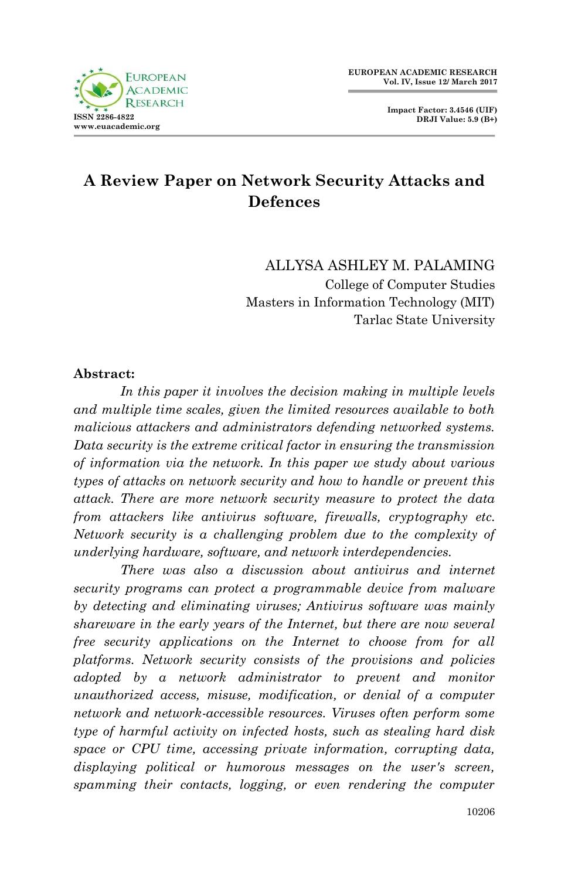# **A Review Paper on Network Security Attacks and Defences**

ALLYSA ASHLEY M. PALAMING College of Computer Studies Masters in Information Technology (MIT) Tarlac State University

#### **Abstract:**

*In this paper it involves the decision making in multiple levels and multiple time scales, given the limited resources available to both malicious attackers and administrators defending networked systems. Data security is the extreme critical factor in ensuring the transmission of information via the network. In this paper we study about various types of attacks on network security and how to handle or prevent this attack. There are more network security measure to protect the data from attackers like antivirus software, firewalls, cryptography etc. Network security is a challenging problem due to the complexity of underlying hardware, software, and network interdependencies.*

*There was also a discussion about antivirus and internet security programs can protect a programmable device from malware by detecting and eliminating viruses; Antivirus software was mainly shareware in the early years of the Internet, but there are now several free security applications on the Internet to choose from for all platforms. Network security consists of the provisions and policies adopted by a network administrator to prevent and monitor unauthorized access, misuse, modification, or denial of a computer network and network-accessible resources. Viruses often perform some type of harmful activity on infected hosts, such as stealing hard disk space or CPU time, accessing private information, corrupting data, displaying political or humorous messages on the user's screen,*  spamming their contacts, logging, or even rendering the computer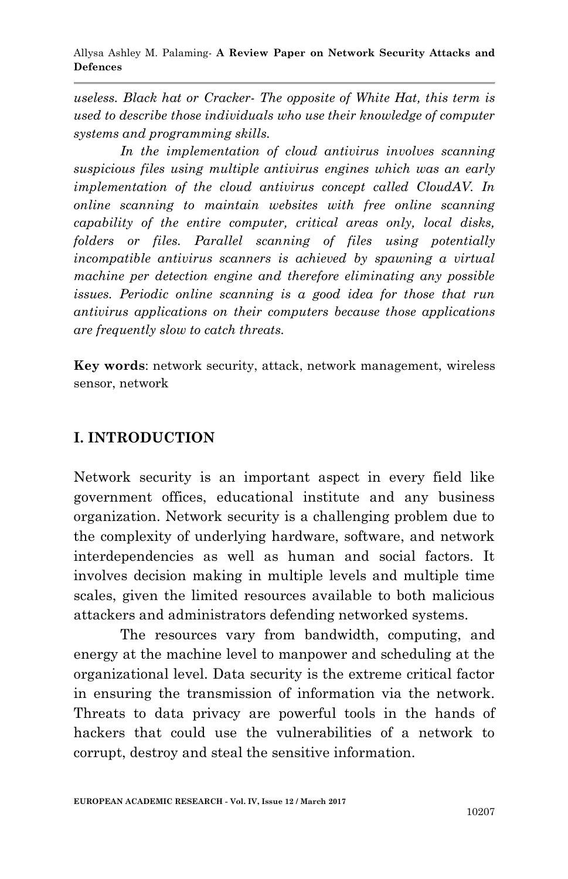Allysa Ashley M. Palaming*-* **A Review Paper on Network Security Attacks and Defences**

*useless. Black hat or Cracker- The opposite of White Hat, this term is used to describe those individuals who use their knowledge of computer systems and programming skills.* 

*In the implementation of cloud antivirus involves scanning suspicious files using multiple antivirus engines which was an early implementation of the cloud antivirus concept called CloudAV. In online scanning to maintain websites with free online scanning capability of the entire computer, critical areas only, local disks, folders or files. Parallel scanning of files using potentially incompatible antivirus scanners is achieved by spawning a virtual machine per detection engine and therefore eliminating any possible issues. Periodic online scanning is a good idea for those that run antivirus applications on their computers because those applications are frequently slow to catch threats.*

**Key words**: network security, attack, network management, wireless sensor, network

### **I. INTRODUCTION**

Network security is an important aspect in every field like government offices, educational institute and any business organization. Network security is a challenging problem due to the complexity of underlying hardware, software, and network interdependencies as well as human and social factors. It involves decision making in multiple levels and multiple time scales, given the limited resources available to both malicious attackers and administrators defending networked systems.

The resources vary from bandwidth, computing, and energy at the machine level to manpower and scheduling at the organizational level. Data security is the extreme critical factor in ensuring the transmission of information via the network. Threats to data privacy are powerful tools in the hands of hackers that could use the vulnerabilities of a network to corrupt, destroy and steal the sensitive information.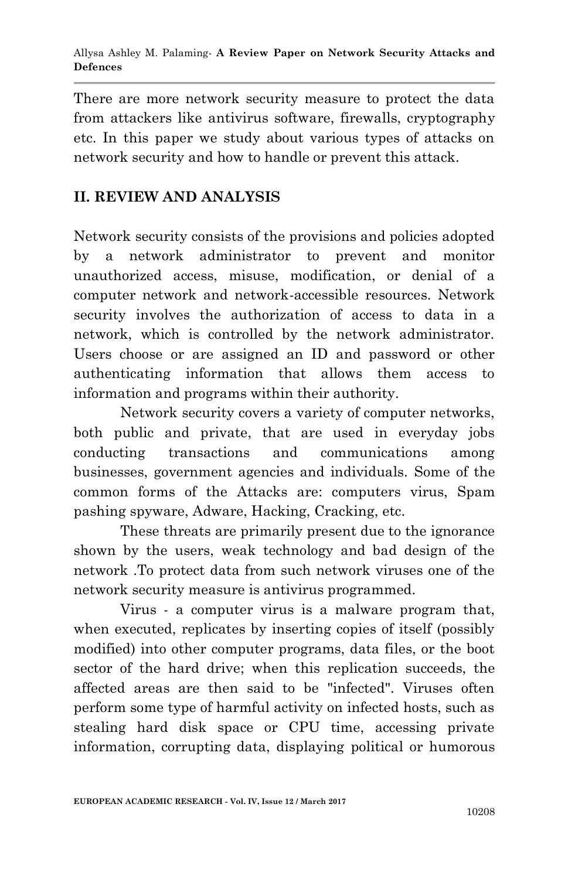There are more network security measure to protect the data from attackers like antivirus software, firewalls, cryptography etc. In this paper we study about various types of attacks on network security and how to handle or prevent this attack.

# **II. REVIEW AND ANALYSIS**

Network security consists of the provisions and policies adopted by a network administrator to prevent and monitor unauthorized access, misuse, modification, or denial of a computer network and network-accessible resources. Network security involves the authorization of access to data in a network, which is controlled by the network administrator. Users choose or are assigned an ID and password or other authenticating information that allows them access to information and programs within their authority.

Network security covers a variety of computer networks, both public and private, that are used in everyday jobs conducting transactions and communications among businesses, government agencies and individuals. Some of the common forms of the Attacks are: computers virus, Spam pashing spyware, Adware, Hacking, Cracking, etc.

These threats are primarily present due to the ignorance shown by the users, weak technology and bad design of the network .To protect data from such network viruses one of the network security measure is antivirus programmed.

Virus - a computer virus is a malware program that, when executed, replicates by inserting copies of itself (possibly modified) into other computer programs, data files, or the boot sector of the hard drive; when this replication succeeds, the affected areas are then said to be "infected". Viruses often perform some type of harmful activity on infected hosts, such as stealing hard disk space or CPU time, accessing private information, corrupting data, displaying political or humorous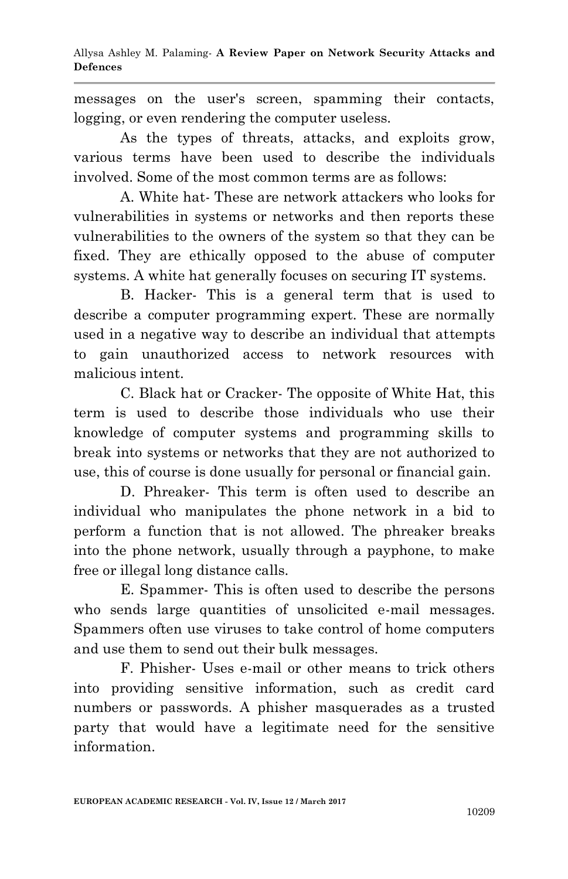messages on the user's screen, spamming their contacts, logging, or even rendering the computer useless.

As the types of threats, attacks, and exploits grow, various terms have been used to describe the individuals involved. Some of the most common terms are as follows:

A. White hat- These are network attackers who looks for vulnerabilities in systems or networks and then reports these vulnerabilities to the owners of the system so that they can be fixed. They are ethically opposed to the abuse of computer systems. A white hat generally focuses on securing IT systems.

B. Hacker- This is a general term that is used to describe a computer programming expert. These are normally used in a negative way to describe an individual that attempts to gain unauthorized access to network resources with malicious intent.

C. Black hat or Cracker- The opposite of White Hat, this term is used to describe those individuals who use their knowledge of computer systems and programming skills to break into systems or networks that they are not authorized to use, this of course is done usually for personal or financial gain.

D. Phreaker- This term is often used to describe an individual who manipulates the phone network in a bid to perform a function that is not allowed. The phreaker breaks into the phone network, usually through a payphone, to make free or illegal long distance calls.

E. Spammer- This is often used to describe the persons who sends large quantities of unsolicited e-mail messages. Spammers often use viruses to take control of home computers and use them to send out their bulk messages.

F. Phisher- Uses e-mail or other means to trick others into providing sensitive information, such as credit card numbers or passwords. A phisher masquerades as a trusted party that would have a legitimate need for the sensitive information.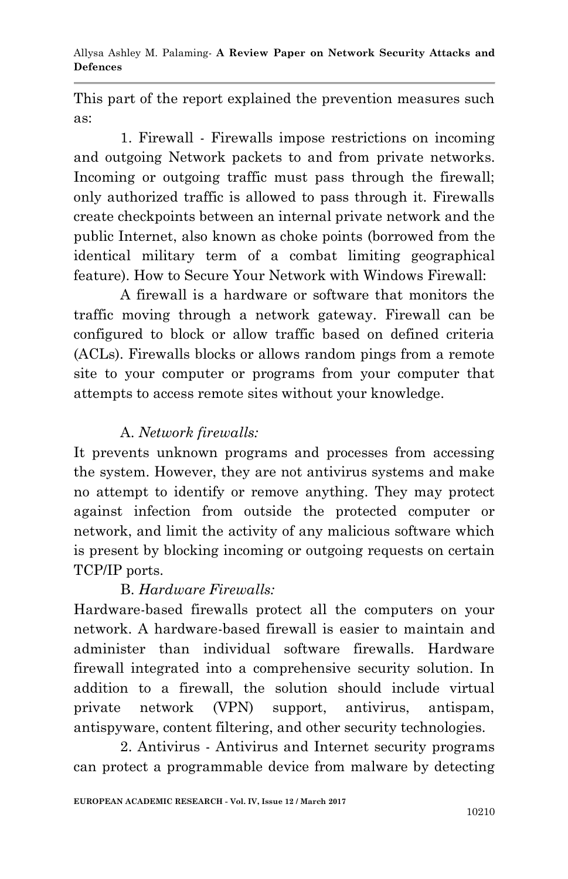Allysa Ashley M. Palaming*-* **A Review Paper on Network Security Attacks and Defences**

This part of the report explained the prevention measures such as:

1. Firewall - Firewalls impose restrictions on incoming and outgoing Network packets to and from private networks. Incoming or outgoing traffic must pass through the firewall; only authorized traffic is allowed to pass through it. Firewalls create checkpoints between an internal private network and the public Internet, also known as choke points (borrowed from the identical military term of a combat limiting geographical feature). How to Secure Your Network with Windows Firewall:

A firewall is a hardware or software that monitors the traffic moving through a network gateway. Firewall can be configured to block or allow traffic based on defined criteria (ACLs). Firewalls blocks or allows random pings from a remote site to your computer or programs from your computer that attempts to access remote sites without your knowledge.

### A. *Network firewalls:*

It prevents unknown programs and processes from accessing the system. However, they are not antivirus systems and make no attempt to identify or remove anything. They may protect against infection from outside the protected computer or network, and limit the activity of any malicious software which is present by blocking incoming or outgoing requests on certain TCP/IP ports.

# B. *Hardware Firewalls:*

Hardware-based firewalls protect all the computers on your network. A hardware-based firewall is easier to maintain and administer than individual software firewalls. Hardware firewall integrated into a comprehensive security solution. In addition to a firewall, the solution should include virtual private network (VPN) support, antivirus, antispam, antispyware, content filtering, and other security technologies.

2. Antivirus - Antivirus and Internet security programs can protect a programmable device from malware by detecting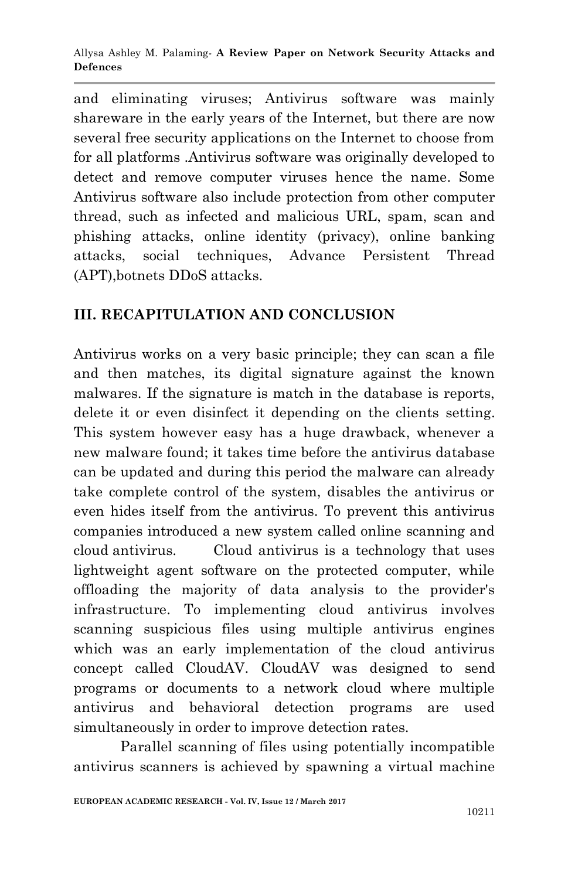and eliminating viruses; Antivirus software was mainly shareware in the early years of the Internet, but there are now several free security applications on the Internet to choose from for all platforms .Antivirus software was originally developed to detect and remove computer viruses hence the name. Some Antivirus software also include protection from other computer thread, such as infected and malicious URL, spam, scan and phishing attacks, online identity (privacy), online banking attacks, social techniques, Advance Persistent Thread (APT),botnets DDoS attacks.

# **III. RECAPITULATION AND CONCLUSION**

Antivirus works on a very basic principle; they can scan a file and then matches, its digital signature against the known malwares. If the signature is match in the database is reports, delete it or even disinfect it depending on the clients setting. This system however easy has a huge drawback, whenever a new malware found; it takes time before the antivirus database can be updated and during this period the malware can already take complete control of the system, disables the antivirus or even hides itself from the antivirus. To prevent this antivirus companies introduced a new system called online scanning and cloud antivirus. Cloud antivirus is a technology that uses lightweight agent software on the protected computer, while offloading the majority of data analysis to the provider's infrastructure. To implementing cloud antivirus involves scanning suspicious files using multiple antivirus engines which was an early implementation of the cloud antivirus concept called CloudAV. CloudAV was designed to send programs or documents to a network cloud where multiple antivirus and behavioral detection programs are used simultaneously in order to improve detection rates.

Parallel scanning of files using potentially incompatible antivirus scanners is achieved by spawning a virtual machine